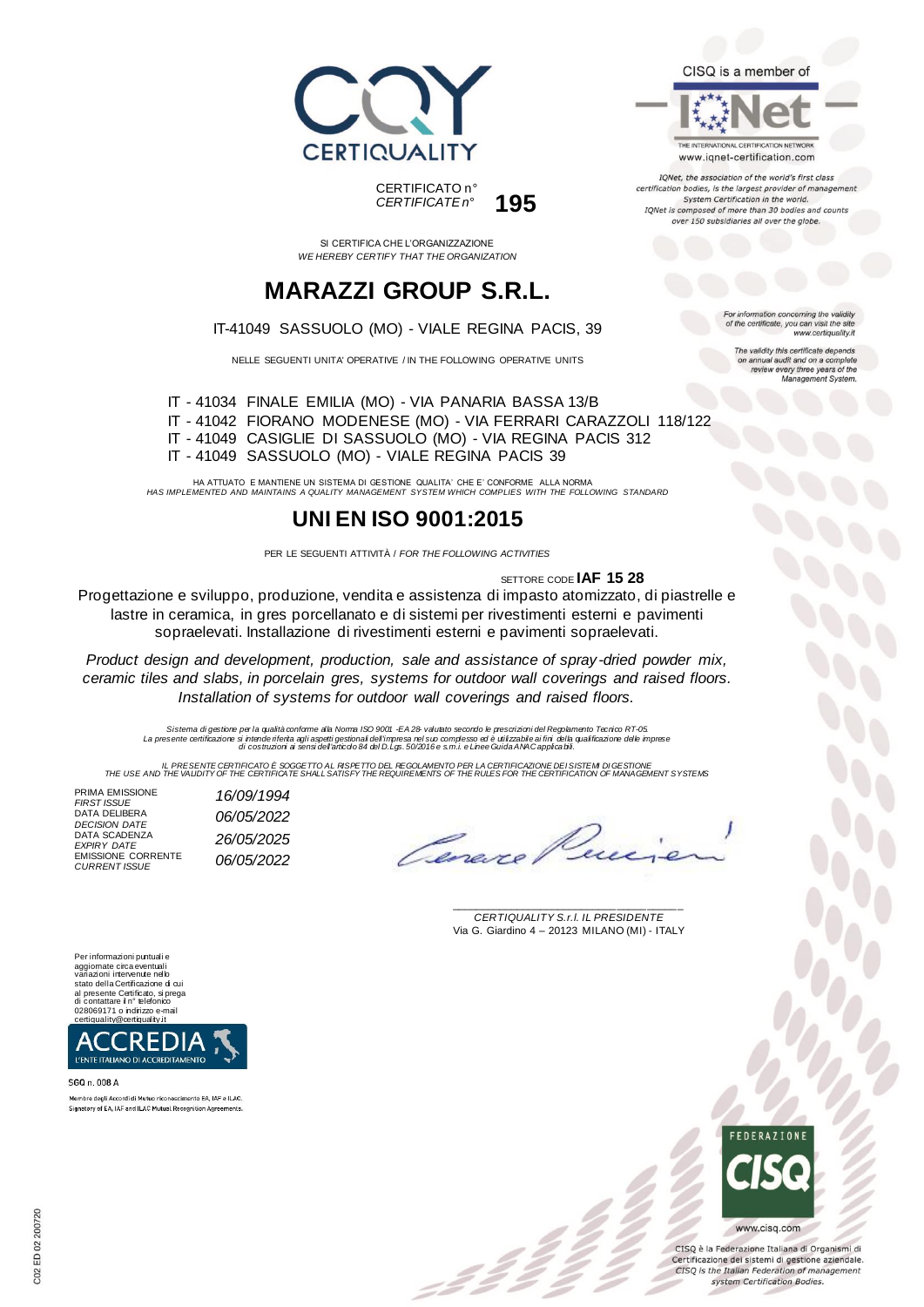

CERTIFICATO n° *CERTIFICATE n°* **195**

SI CERTIFICA CHE L'ORGANIZZAZIONE *WE HEREBY CERTIFY THAT THE ORGANIZATION*

# **MARAZZI GROUP S.R.L.**

#### IT-41049 SASSUOLO (MO) - VIALE REGINA PACIS, 39

NELLE SEGUENTI UNITA' OPERATIVE / IN THE FOLLOWING OPERATIVE UNITS

IT - 41034 FINALE EMILIA (MO) - VIA PANARIA BASSA 13/B IT - 41042 FIORANO MODENESE (MO) - VIA FERRARI CARAZZOLI 118/122 IT - 41049 CASIGLIE DI SASSUOLO (MO) - VIA REGINA PACIS 312 IT - 41049 SASSUOLO (MO) - VIALE REGINA PACIS 39

HA ATTUATO E MANTIENE UN SISTEMA DI GESTIONE QUALITA' CHE E' CONFORME ALLA NORMA *HAS IMPLEMENTED AND MAINTAINS A QUALITY MANAGEMENT SYSTEM WHICH COMPLIES WITH THE FOLLOWING STANDARD*

## **UNI EN ISO 9001:2015**

PER LE SEGUENTI ATTIVITÀ / *FOR THE FOLLOWING ACTIVITIES*

SETTORE CODE **IAF 15 28**

Progettazione e sviluppo, produzione, vendita e assistenza di impasto atomizzato, di piastrelle e lastre in ceramica, in gres porcellanato e di sistemi per rivestimenti esterni e pavimenti sopraelevati. Installazione di rivestimenti esterni e pavimenti sopraelevati.

*Product design and development, production, sale and assistance of spray -dried powder mix, ceramic tiles and slabs, in porcelain gres, systems for outdoor wall coverings and raised floors. Installation of systems for outdoor wall coverings and raised floors.*

*Sistema di gestione per la qualità conforme alla Norma ISO 9001 -EA 28- valutato secondo le prescrizioni del Regolamento Tecnico RT-05.* La presente certificazione si intende riferita agli aspetti gestionali dell'impresa nel suo complesso ed è utilizzabile ai fini della qualificazione delle imprese<br>di costruzioni ai sensi dell'articdo 84 del D.Lgs. 50/2016

IL PRESENTE CERTIFICATO E SOGGETTO AL RISPETTO DE REGOLAMENTO PER LA CERTIFICAZIONE DEI SISTEM DI GESTIONE<br>THE USE AND THE VALIDITY OF THE CERTIFICATE SHALL SATISFY THE REQUIREMENTS OF THE RULES FOR THE CERTIFICATION OF MA

:22

PRIMA EMISSIONE<br>FIRST ISSUE *FIRST ISSUE 16/09/1994* DATA DELIBERA<br>DECISION DATE *DECISION DATE 06/05/2022* DATA SCADENZA<br>EXPIRY DATE *EXPIRY DATE 26/05/2025* EMISSIONE CORRENTE *CURRENT ISSUE 06/05/2022*

Lene

\_\_\_\_\_\_\_\_\_\_\_\_\_\_\_\_\_\_\_\_\_\_\_\_\_\_\_\_\_\_\_\_\_\_\_\_\_\_\_ *CERTIQUALITY S.r.l. IL PRESIDENTE* Via G. Giardino 4 – 20123 MILANO (MI) - ITALY

Per informazioni puntuali e aggiornate circa eventuali variazioni intervenute nello stato della Certificazione di cui<br>al presente Certificato, si prega<br>di contattare il n° telefonico<br>028069171 o indirizzo e-mail<br>certiquality@certiquality.it



SGQ n. 008 A

Membro degli Accordi di Mutuo riconoscimento EA, IAF e ILAC Signatory of EA, IAF and ILAC Mutual Recognition Agreements THE INTERNATIONAL CERTIFICATION NETWORK

CISQ is a member of

www.iqnet-certification.com

IQNet, the association of the world's first class certification bodies, is the largest provider of managemen System Certification in the world. IQNet is composed of more than 30 bodies and counts over 150 subsidiaries all over the globe.

> For information concerning the validity<br>of the certificate, you can visit the site www.certiquality.it

> > The validity this certificate depends on annual audit and on a complete<br>review every three years of the<br>Management System.



CISQ è la Federazione Italiana di Organismi di Certificazione dei sistemi di gestione aziendale. CISQ is the Italian Federation of management system Certification Bodies.